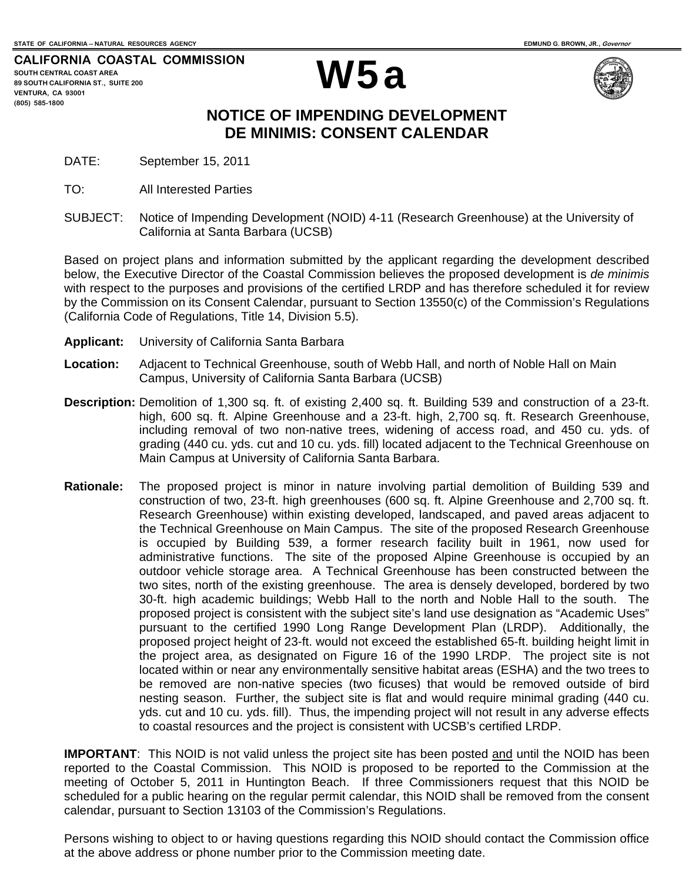**CALIFORNIA COASTAL COMMISSION SOUTH CENTRAL COAST AREA 89 SOUTH CALIFORNIA ST., SUITE 200 VENTURA, CA 93001 (805) 585-1800** 





## **NOTICE OF IMPENDING DEVELOPMENT DE MINIMIS: CONSENT CALENDAR**

- DATE: September 15, 2011
- TO: All Interested Parties
- SUBJECT: Notice of Impending Development (NOID) 4-11 (Research Greenhouse) at the University of California at Santa Barbara (UCSB)

Based on project plans and information submitted by the applicant regarding the development described below, the Executive Director of the Coastal Commission believes the proposed development is *de minimis* with respect to the purposes and provisions of the certified LRDP and has therefore scheduled it for review by the Commission on its Consent Calendar, pursuant to Section 13550(c) of the Commission's Regulations (California Code of Regulations, Title 14, Division 5.5).

- **Applicant:** University of California Santa Barbara
- **Location:** Adjacent to Technical Greenhouse, south of Webb Hall, and north of Noble Hall on Main Campus, University of California Santa Barbara (UCSB)
- **Description:** Demolition of 1,300 sq. ft. of existing 2,400 sq. ft. Building 539 and construction of a 23-ft. high, 600 sq. ft. Alpine Greenhouse and a 23-ft. high, 2,700 sq. ft. Research Greenhouse, including removal of two non-native trees, widening of access road, and 450 cu. yds. of grading (440 cu. yds. cut and 10 cu. yds. fill) located adjacent to the Technical Greenhouse on Main Campus at University of California Santa Barbara.
- **Rationale:** The proposed project is minor in nature involving partial demolition of Building 539 and construction of two, 23-ft. high greenhouses (600 sq. ft. Alpine Greenhouse and 2,700 sq. ft. Research Greenhouse) within existing developed, landscaped, and paved areas adjacent to the Technical Greenhouse on Main Campus. The site of the proposed Research Greenhouse is occupied by Building 539, a former research facility built in 1961, now used for administrative functions. The site of the proposed Alpine Greenhouse is occupied by an outdoor vehicle storage area. A Technical Greenhouse has been constructed between the two sites, north of the existing greenhouse. The area is densely developed, bordered by two 30-ft. high academic buildings; Webb Hall to the north and Noble Hall to the south. The proposed project is consistent with the subject site's land use designation as "Academic Uses" pursuant to the certified 1990 Long Range Development Plan (LRDP). Additionally, the proposed project height of 23-ft. would not exceed the established 65-ft. building height limit in the project area, as designated on Figure 16 of the 1990 LRDP. The project site is not located within or near any environmentally sensitive habitat areas (ESHA) and the two trees to be removed are non-native species (two ficuses) that would be removed outside of bird nesting season. Further, the subject site is flat and would require minimal grading (440 cu. yds. cut and 10 cu. yds. fill). Thus, the impending project will not result in any adverse effects to coastal resources and the project is consistent with UCSB's certified LRDP.

**IMPORTANT**: This NOID is not valid unless the project site has been posted and until the NOID has been reported to the Coastal Commission. This NOID is proposed to be reported to the Commission at the meeting of October 5, 2011 in Huntington Beach. If three Commissioners request that this NOID be scheduled for a public hearing on the regular permit calendar, this NOID shall be removed from the consent calendar, pursuant to Section 13103 of the Commission's Regulations.

Persons wishing to object to or having questions regarding this NOID should contact the Commission office at the above address or phone number prior to the Commission meeting date.